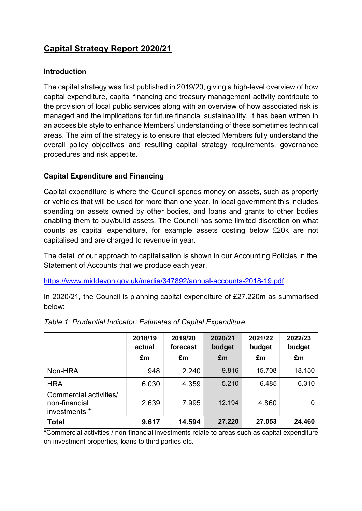# Capital Strategy Report 2020/21

#### Introduction

The capital strategy was first published in 2019/20, giving a high-level overview of how capital expenditure, capital financing and treasury management activity contribute to the provision of local public services along with an overview of how associated risk is managed and the implications for future financial sustainability. It has been written in an accessible style to enhance Members' understanding of these sometimes technical areas. The aim of the strategy is to ensure that elected Members fully understand the overall policy objectives and resulting capital strategy requirements, governance procedures and risk appetite.

#### Capital Expenditure and Financing

Capital expenditure is where the Council spends money on assets, such as property or vehicles that will be used for more than one year. In local government this includes spending on assets owned by other bodies, and loans and grants to other bodies enabling them to buy/build assets. The Council has some limited discretion on what counts as capital expenditure, for example assets costing below £20k are not capitalised and are charged to revenue in year.

The detail of our approach to capitalisation is shown in our Accounting Policies in the Statement of Accounts that we produce each year.

https://www.middevon.gov.uk/media/347892/annual-accounts-2018-19.pdf

In 2020/21, the Council is planning capital expenditure of £27.220m as summarised below:

|                                                          | 2018/19<br>actual<br>£m | 2019/20<br>forecast<br>£m | 2020/21<br>budget<br>£m | 2021/22<br>budget<br>£m | 2022/23<br>budget<br>£m |
|----------------------------------------------------------|-------------------------|---------------------------|-------------------------|-------------------------|-------------------------|
| Non-HRA                                                  | 948                     | 2.240                     | 9.816                   | 15.708                  | 18.150                  |
| <b>HRA</b>                                               | 6.030                   | 4.359                     | 5.210                   | 6.485                   | 6.310                   |
| Commercial activities/<br>non-financial<br>investments * | 2.639                   | 7.995                     | 12.194                  | 4.860                   | 0                       |
| <b>Total</b>                                             | 9.617                   | 14.594                    | 27.220                  | 27.053                  | 24.460                  |

#### Table 1: Prudential Indicator: Estimates of Capital Expenditure

\*Commercial activities / non-financial investments relate to areas such as capital expenditure on investment properties, loans to third parties etc.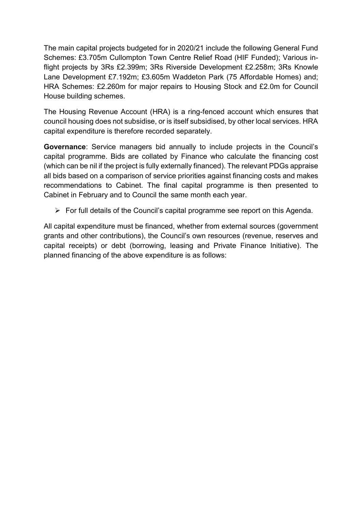The main capital projects budgeted for in 2020/21 include the following General Fund Schemes: £3.705m Cullompton Town Centre Relief Road (HIF Funded); Various inflight projects by 3Rs £2.399m; 3Rs Riverside Development £2.258m; 3Rs Knowle Lane Development £7.192m; £3.605m Waddeton Park (75 Affordable Homes) and; HRA Schemes: £2.260m for major repairs to Housing Stock and £2.0m for Council House building schemes.

The Housing Revenue Account (HRA) is a ring-fenced account which ensures that council housing does not subsidise, or is itself subsidised, by other local services. HRA capital expenditure is therefore recorded separately.

Governance: Service managers bid annually to include projects in the Council's capital programme. Bids are collated by Finance who calculate the financing cost (which can be nil if the project is fully externally financed). The relevant PDGs appraise all bids based on a comparison of service priorities against financing costs and makes recommendations to Cabinet. The final capital programme is then presented to Cabinet in February and to Council the same month each year.

 $\triangleright$  For full details of the Council's capital programme see report on this Agenda.

All capital expenditure must be financed, whether from external sources (government grants and other contributions), the Council's own resources (revenue, reserves and capital receipts) or debt (borrowing, leasing and Private Finance Initiative). The planned financing of the above expenditure is as follows: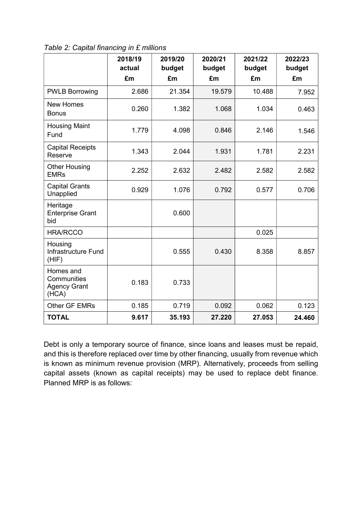|                                                          | 2018/19<br>actual | 2019/20<br>budget | 2020/21<br>budget | 2021/22<br>budget | 2022/23<br>budget |
|----------------------------------------------------------|-------------------|-------------------|-------------------|-------------------|-------------------|
|                                                          | £m                | £m                | £m                | £m                | £m                |
| <b>PWLB Borrowing</b>                                    | 2.686             | 21.354            | 19.579            | 10.488            | 7.952             |
| <b>New Homes</b><br><b>Bonus</b>                         | 0.260             | 1.382             | 1.068             | 1.034             | 0.463             |
| <b>Housing Maint</b><br>Fund                             | 1.779             | 4.098             | 0.846             | 2.146             | 1.546             |
| <b>Capital Receipts</b><br>Reserve                       | 1.343             | 2.044             | 1.931             | 1.781             | 2.231             |
| <b>Other Housing</b><br><b>EMRs</b>                      | 2.252             | 2.632             | 2.482             | 2.582             | 2.582             |
| <b>Capital Grants</b><br>Unapplied                       | 0.929             | 1.076             | 0.792             | 0.577             | 0.706             |
| Heritage<br><b>Enterprise Grant</b><br>bid               |                   | 0.600             |                   |                   |                   |
| <b>HRA/RCCO</b>                                          |                   |                   |                   | 0.025             |                   |
| Housing<br>Infrastructure Fund<br>(HIF)                  |                   | 0.555             | 0.430             | 8.358             | 8.857             |
| Homes and<br>Communities<br><b>Agency Grant</b><br>(HCA) | 0.183             | 0.733             |                   |                   |                   |
| Other GF EMRs                                            | 0.185             | 0.719             | 0.092             | 0.062             | 0.123             |
| <b>TOTAL</b>                                             | 9.617             | 35.193            | 27.220            | 27.053            | 24.460            |

Table 2: Capital financing in £ millions

Debt is only a temporary source of finance, since loans and leases must be repaid, and this is therefore replaced over time by other financing, usually from revenue which is known as minimum revenue provision (MRP). Alternatively, proceeds from selling capital assets (known as capital receipts) may be used to replace debt finance. Planned MRP is as follows: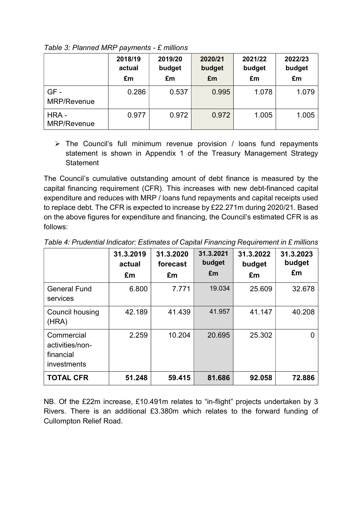|                     | 2018/19<br>actual<br>£m | 2019/20<br>budget<br>£m | 2020/21<br>budget<br>£m | 2021/22<br>budget<br>£m | 2022/23<br>budget<br>£m |
|---------------------|-------------------------|-------------------------|-------------------------|-------------------------|-------------------------|
| GF-<br>MRP/Revenue  | 0.286                   | 0.537                   | 0.995                   | 1.078                   | 1.079                   |
| HRA-<br>MRP/Revenue | 0.977                   | 0.972                   | 0.972                   | 1.005                   | 1.005                   |

Table 3: Planned MRP payments - £ millions

 $\triangleright$  The Council's full minimum revenue provision / loans fund repayments statement is shown in Appendix 1 of the Treasury Management Strategy **Statement** 

The Council's cumulative outstanding amount of debt finance is measured by the capital financing requirement (CFR). This increases with new debt-financed capital expenditure and reduces with MRP / loans fund repayments and capital receipts used to replace debt. The CFR is expected to increase by £22.271m during 2020/21. Based on the above figures for expenditure and financing, the Council's estimated CFR is as follows:

|                                                           | 31.3.2019<br>actual<br>£m | 31.3.2020<br>forecast<br>£m | 31.3.2021<br>budget<br>£m | 31.3.2022<br>budget<br>£m | 31.3.2023<br>budget<br>£m |
|-----------------------------------------------------------|---------------------------|-----------------------------|---------------------------|---------------------------|---------------------------|
| <b>General Fund</b><br>services                           | 6.800                     | 7.771                       | 19.034                    | 25.609                    | 32.678                    |
| Council housing<br>(HRA)                                  | 42.189                    | 41.439                      | 41.957                    | 41.147                    | 40.208                    |
| Commercial<br>activities/non-<br>financial<br>investments | 2.259                     | 10.204                      | 20.695                    | 25.302                    | 0                         |
| <b>TOTAL CFR</b>                                          | 51.248                    | 59.415                      | 81.686                    | 92.058                    | 72.886                    |

Table 4: Prudential Indicator: Estimates of Capital Financing Requirement in £ millions

NB. Of the £22m increase, £10.491m relates to "in-flight" projects undertaken by 3 Rivers. There is an additional £3.380m which relates to the forward funding of Cullompton Relief Road.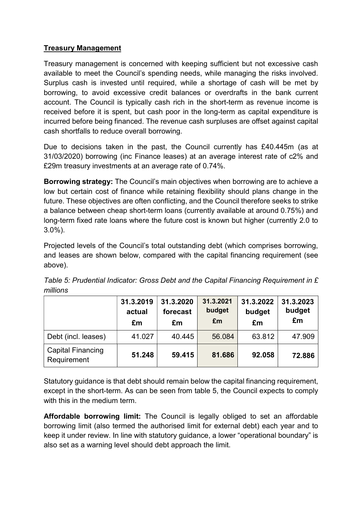#### Treasury Management

Treasury management is concerned with keeping sufficient but not excessive cash available to meet the Council's spending needs, while managing the risks involved. Surplus cash is invested until required, while a shortage of cash will be met by borrowing, to avoid excessive credit balances or overdrafts in the bank current account. The Council is typically cash rich in the short-term as revenue income is received before it is spent, but cash poor in the long-term as capital expenditure is incurred before being financed. The revenue cash surpluses are offset against capital cash shortfalls to reduce overall borrowing.

Due to decisions taken in the past, the Council currently has £40.445m (as at 31/03/2020) borrowing (inc Finance leases) at an average interest rate of c2% and £29m treasury investments at an average rate of 0.74%.

Borrowing strategy: The Council's main objectives when borrowing are to achieve a low but certain cost of finance while retaining flexibility should plans change in the future. These objectives are often conflicting, and the Council therefore seeks to strike a balance between cheap short-term loans (currently available at around 0.75%) and long-term fixed rate loans where the future cost is known but higher (currently 2.0 to 3.0%).

Projected levels of the Council's total outstanding debt (which comprises borrowing, and leases are shown below, compared with the capital financing requirement (see above).

|                                         | 31.3.2019<br>actual<br>£m | 31.3.2020<br>forecast<br>£m | 31.3.2021<br>budget<br>£m | 31.3.2022<br>budget<br>£m | 31.3.2023<br>budget<br>£m |
|-----------------------------------------|---------------------------|-----------------------------|---------------------------|---------------------------|---------------------------|
| Debt (incl. leases)                     | 41.027                    | 40.445                      | 56.084                    | 63.812                    | 47.909                    |
| <b>Capital Financing</b><br>Requirement | 51.248                    | 59.415                      | 81.686                    | 92.058                    | 72.886                    |

Table 5: Prudential Indicator: Gross Debt and the Capital Financing Requirement in £ millions

Statutory guidance is that debt should remain below the capital financing requirement, except in the short-term. As can be seen from table 5, the Council expects to comply with this in the medium term.

Affordable borrowing limit: The Council is legally obliged to set an affordable borrowing limit (also termed the authorised limit for external debt) each year and to keep it under review. In line with statutory guidance, a lower "operational boundary" is also set as a warning level should debt approach the limit.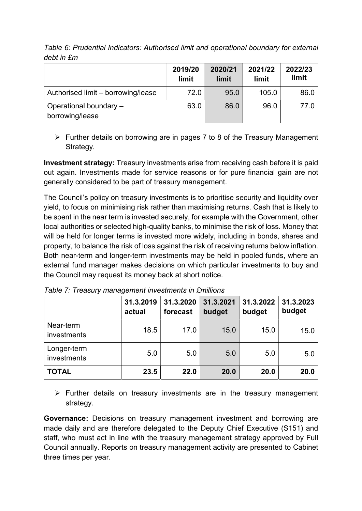|                                           | 2019/20<br>limit | 2020/21<br>limit | 2021/22<br>limit | 2022/23<br>limit |
|-------------------------------------------|------------------|------------------|------------------|------------------|
| Authorised limit - borrowing/lease        | 72.0             | 95.0             | 105.0            | 86.0             |
| Operational boundary -<br>borrowing/lease | 63.0             | 86.0             | 96.0             | 77.0             |

Table 6: Prudential Indicators: Authorised limit and operational boundary for external debt in £m

 $\triangleright$  Further details on borrowing are in pages 7 to 8 of the Treasury Management Strategy.

Investment strategy: Treasury investments arise from receiving cash before it is paid out again. Investments made for service reasons or for pure financial gain are not generally considered to be part of treasury management.

The Council's policy on treasury investments is to prioritise security and liquidity over yield, to focus on minimising risk rather than maximising returns. Cash that is likely to be spent in the near term is invested securely, for example with the Government, other local authorities or selected high-quality banks, to minimise the risk of loss. Money that will be held for longer terms is invested more widely, including in bonds, shares and property, to balance the risk of loss against the risk of receiving returns below inflation. Both near-term and longer-term investments may be held in pooled funds, where an external fund manager makes decisions on which particular investments to buy and the Council may request its money back at short notice.

|                            | 31.3.2019<br>actual | 31.3.2020<br>forecast | 31.3.2021<br>budget | 31.3.2022<br>budget | 31.3.2023<br>budget |
|----------------------------|---------------------|-----------------------|---------------------|---------------------|---------------------|
| Near-term<br>investments   | 18.5                | 17.0                  | 15.0                | 15.0                | 15.0                |
| Longer-term<br>investments | 5.0                 | 5.0                   | 5.0                 | 5.0                 | 5.0                 |
| <b>TOTAL</b>               | 23.5                | 22.0                  | 20.0                | 20.0                | 20.0                |

Table 7: Treasury management investments in £millions

 $\triangleright$  Further details on treasury investments are in the treasury management strategy.

Governance: Decisions on treasury management investment and borrowing are made daily and are therefore delegated to the Deputy Chief Executive (S151) and staff, who must act in line with the treasury management strategy approved by Full Council annually. Reports on treasury management activity are presented to Cabinet three times per year.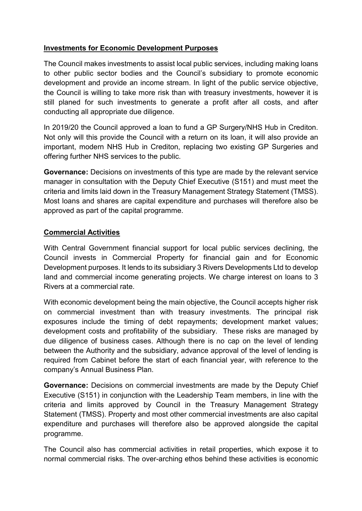#### Investments for Economic Development Purposes

The Council makes investments to assist local public services, including making loans to other public sector bodies and the Council's subsidiary to promote economic development and provide an income stream. In light of the public service objective, the Council is willing to take more risk than with treasury investments, however it is still planed for such investments to generate a profit after all costs, and after conducting all appropriate due diligence.

In 2019/20 the Council approved a loan to fund a GP Surgery/NHS Hub in Crediton. Not only will this provide the Council with a return on its loan, it will also provide an important, modern NHS Hub in Crediton, replacing two existing GP Surgeries and offering further NHS services to the public.

Governance: Decisions on investments of this type are made by the relevant service manager in consultation with the Deputy Chief Executive (S151) and must meet the criteria and limits laid down in the Treasury Management Strategy Statement (TMSS). Most loans and shares are capital expenditure and purchases will therefore also be approved as part of the capital programme.

#### Commercial Activities

With Central Government financial support for local public services declining, the Council invests in Commercial Property for financial gain and for Economic Development purposes. It lends to its subsidiary 3 Rivers Developments Ltd to develop land and commercial income generating projects. We charge interest on loans to 3 Rivers at a commercial rate.

With economic development being the main objective, the Council accepts higher risk on commercial investment than with treasury investments. The principal risk exposures include the timing of debt repayments; development market values; development costs and profitability of the subsidiary. These risks are managed by due diligence of business cases. Although there is no cap on the level of lending between the Authority and the subsidiary, advance approval of the level of lending is required from Cabinet before the start of each financial year, with reference to the company's Annual Business Plan.

Governance: Decisions on commercial investments are made by the Deputy Chief Executive (S151) in conjunction with the Leadership Team members, in line with the criteria and limits approved by Council in the Treasury Management Strategy Statement (TMSS). Property and most other commercial investments are also capital expenditure and purchases will therefore also be approved alongside the capital programme.

The Council also has commercial activities in retail properties, which expose it to normal commercial risks. The over-arching ethos behind these activities is economic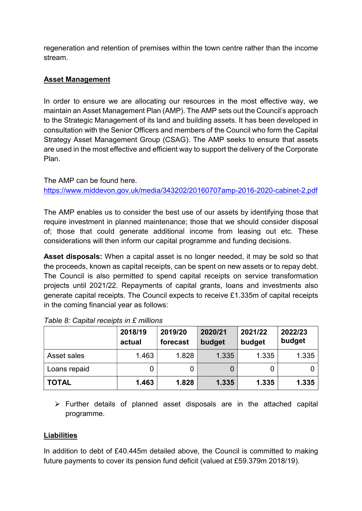regeneration and retention of premises within the town centre rather than the income stream.

### Asset Management

In order to ensure we are allocating our resources in the most effective way, we maintain an Asset Management Plan (AMP). The AMP sets out the Council's approach to the Strategic Management of its land and building assets. It has been developed in consultation with the Senior Officers and members of the Council who form the Capital Strategy Asset Management Group (CSAG). The AMP seeks to ensure that assets are used in the most effective and efficient way to support the delivery of the Corporate Plan.

The AMP can be found here. https://www.middevon.gov.uk/media/343202/20160707amp-2016-2020-cabinet-2.pdf

The AMP enables us to consider the best use of our assets by identifying those that require investment in planned maintenance; those that we should consider disposal of; those that could generate additional income from leasing out etc. These considerations will then inform our capital programme and funding decisions.

Asset disposals: When a capital asset is no longer needed, it may be sold so that the proceeds, known as capital receipts, can be spent on new assets or to repay debt. The Council is also permitted to spend capital receipts on service transformation projects until 2021/22. Repayments of capital grants, loans and investments also generate capital receipts. The Council expects to receive £1.335m of capital receipts in the coming financial year as follows:

|              | 2018/19<br>actual | 2019/20<br>forecast | 2020/21<br>budget | 2021/22<br>budget | 2022/23<br>budget |
|--------------|-------------------|---------------------|-------------------|-------------------|-------------------|
| Asset sales  | 1.463             | 1.828               | 1.335             | 1.335             | 1.335             |
| Loans repaid |                   | 0                   |                   | 0                 |                   |
| <b>TOTAL</b> | 1.463             | 1.828               | 1.335             | 1.335             | 1.335             |

| Table 8: Capital receipts in £ millions |  |  |  |  |  |
|-----------------------------------------|--|--|--|--|--|
|-----------------------------------------|--|--|--|--|--|

 $\triangleright$  Further details of planned asset disposals are in the attached capital programme.

#### **Liabilities**

In addition to debt of £40.445m detailed above, the Council is committed to making future payments to cover its pension fund deficit (valued at £59.379m 2018/19).